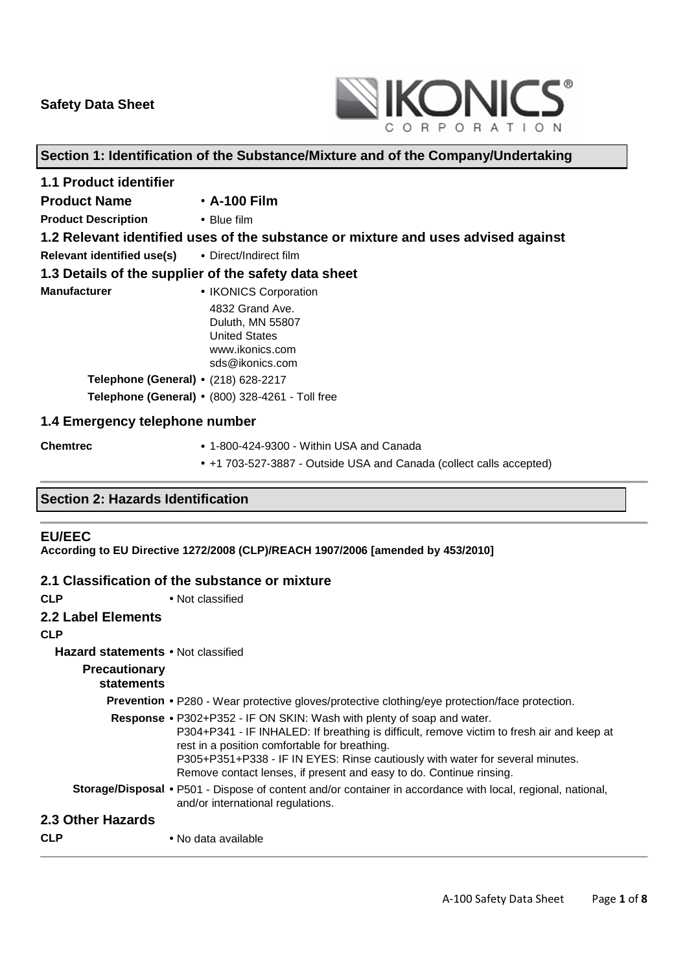

# **Section 1: Identification of the Substance/Mixture and of the Company/Undertaking**

| <b>1.1 Product identifier</b>                                                     |                                                                                                   |  |
|-----------------------------------------------------------------------------------|---------------------------------------------------------------------------------------------------|--|
| <b>Product Name</b>                                                               | $\cdot$ A-100 Film                                                                                |  |
| <b>Product Description</b>                                                        | $\bullet$ Blue film                                                                               |  |
| 1.2 Relevant identified uses of the substance or mixture and uses advised against |                                                                                                   |  |
| Relevant identified use(s)                                                        | • Direct/Indirect film                                                                            |  |
| 1.3 Details of the supplier of the safety data sheet                              |                                                                                                   |  |
| <b>Manufacturer</b>                                                               | • IKONICS Corporation                                                                             |  |
|                                                                                   | 4832 Grand Ave.<br>Duluth, MN 55807<br><b>United States</b><br>www.ikonics.com<br>sds@ikonics.com |  |
| Telephone (General) • (218) 628-2217                                              |                                                                                                   |  |
|                                                                                   | Telephone (General) . (800) 328-4261 - Toll free                                                  |  |
| 1.4 Emergency telephone number                                                    |                                                                                                   |  |

# **Chemtrec** • 1-800-424-9300 - Within USA and Canada • +1 703-527-3887 - Outside USA and Canada (collect calls accepted)

# **Section 2: Hazards Identification**

#### **EU/EEC**

**According to EU Directive 1272/2008 (CLP)/REACH 1907/2006 [amended by 453/2010]** 

#### **2.1 Classification of the substance or mixture**

| <b>CLP</b>                                | • Not classified                                                                                                                                                                                                                                                                                                                                                                    |
|-------------------------------------------|-------------------------------------------------------------------------------------------------------------------------------------------------------------------------------------------------------------------------------------------------------------------------------------------------------------------------------------------------------------------------------------|
| 2.2 Label Elements                        |                                                                                                                                                                                                                                                                                                                                                                                     |
| <b>CLP</b>                                |                                                                                                                                                                                                                                                                                                                                                                                     |
| <b>Hazard statements • Not classified</b> |                                                                                                                                                                                                                                                                                                                                                                                     |
| <b>Precautionary</b><br>statements        |                                                                                                                                                                                                                                                                                                                                                                                     |
|                                           | <b>Prevention •</b> P280 - Wear protective gloves/protective clothing/eye protection/face protection.                                                                                                                                                                                                                                                                               |
|                                           | <b>Response •</b> P302+P352 - IF ON SKIN: Wash with plenty of soap and water.<br>P304+P341 - IF INHALED: If breathing is difficult, remove victim to fresh air and keep at<br>rest in a position comfortable for breathing.<br>P305+P351+P338 - IF IN EYES: Rinse cautiously with water for several minutes.<br>Remove contact lenses, if present and easy to do. Continue rinsing. |
|                                           | Storage/Disposal • P501 - Dispose of content and/or container in accordance with local, regional, national,<br>and/or international regulations.                                                                                                                                                                                                                                    |
| 2.3 Other Hazards                         |                                                                                                                                                                                                                                                                                                                                                                                     |
| <b>CLP</b>                                | • No data available                                                                                                                                                                                                                                                                                                                                                                 |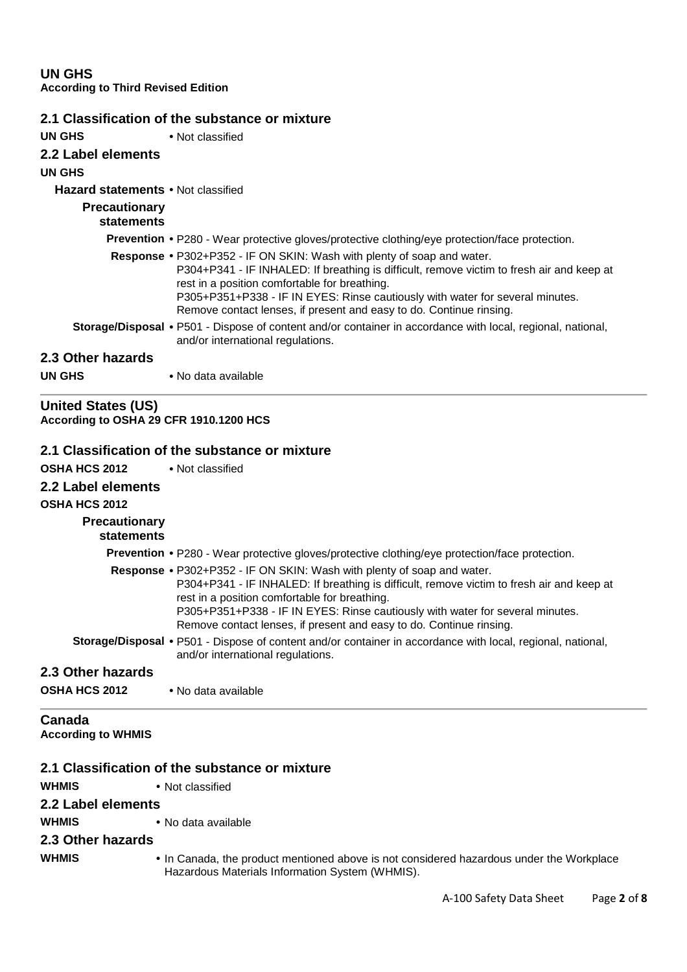**UN GHS According to Third Revised Edition**

|                                    | 2.1 Classification of the substance or mixture                                                                                                                                                                                                                                                                                                                               |
|------------------------------------|------------------------------------------------------------------------------------------------------------------------------------------------------------------------------------------------------------------------------------------------------------------------------------------------------------------------------------------------------------------------------|
| UN GHS                             | • Not classified                                                                                                                                                                                                                                                                                                                                                             |
| 2.2 Label elements                 |                                                                                                                                                                                                                                                                                                                                                                              |
| UN GHS                             |                                                                                                                                                                                                                                                                                                                                                                              |
| Hazard statements . Not classified |                                                                                                                                                                                                                                                                                                                                                                              |
| <b>Precautionary</b><br>statements |                                                                                                                                                                                                                                                                                                                                                                              |
|                                    | <b>Prevention •</b> P280 - Wear protective gloves/protective clothing/eye protection/face protection.                                                                                                                                                                                                                                                                        |
|                                    | Response • P302+P352 - IF ON SKIN: Wash with plenty of soap and water.<br>P304+P341 - IF INHALED: If breathing is difficult, remove victim to fresh air and keep at<br>rest in a position comfortable for breathing.<br>P305+P351+P338 - IF IN EYES: Rinse cautiously with water for several minutes.<br>Remove contact lenses, if present and easy to do. Continue rinsing. |
|                                    | Storage/Disposal • P501 - Dispose of content and/or container in accordance with local, regional, national,<br>and/or international regulations.                                                                                                                                                                                                                             |
| 2.3 Other hazards                  |                                                                                                                                                                                                                                                                                                                                                                              |
| UN GHS                             | • No data available                                                                                                                                                                                                                                                                                                                                                          |

**United States (US) According to OSHA 29 CFR 1910.1200 HCS**

# **2.1 Classification of the substance or mixture**

| <b>OSHA HCS 2012</b>                | • Not classified                                                                                                                                                                                                                                                                                                                                                             |
|-------------------------------------|------------------------------------------------------------------------------------------------------------------------------------------------------------------------------------------------------------------------------------------------------------------------------------------------------------------------------------------------------------------------------|
| 2.2 Label elements                  |                                                                                                                                                                                                                                                                                                                                                                              |
| <b>OSHA HCS 2012</b>                |                                                                                                                                                                                                                                                                                                                                                                              |
| <b>Precautionary</b><br>statements  |                                                                                                                                                                                                                                                                                                                                                                              |
|                                     | <b>Prevention •</b> P280 - Wear protective gloves/protective clothing/eye protection/face protection.                                                                                                                                                                                                                                                                        |
|                                     | Response • P302+P352 - IF ON SKIN: Wash with plenty of soap and water.<br>P304+P341 - IF INHALED: If breathing is difficult, remove victim to fresh air and keep at<br>rest in a position comfortable for breathing.<br>P305+P351+P338 - IF IN EYES: Rinse cautiously with water for several minutes.<br>Remove contact lenses, if present and easy to do. Continue rinsing. |
|                                     | Storage/Disposal • P501 - Dispose of content and/or container in accordance with local, regional, national,<br>and/or international regulations.                                                                                                                                                                                                                             |
| 2.3 Other hazards                   |                                                                                                                                                                                                                                                                                                                                                                              |
| <b>OSHA HCS 2012</b>                | • No data available                                                                                                                                                                                                                                                                                                                                                          |
| Canada<br><b>According to WHMIS</b> |                                                                                                                                                                                                                                                                                                                                                                              |
|                                     | 2.1 Classification of the substance or mixture                                                                                                                                                                                                                                                                                                                               |
| <b>WHMIS</b>                        | • Not classified                                                                                                                                                                                                                                                                                                                                                             |
| 2.2 Label elements                  |                                                                                                                                                                                                                                                                                                                                                                              |
|                                     |                                                                                                                                                                                                                                                                                                                                                                              |
| <b>WHMIS</b>                        | • No data available                                                                                                                                                                                                                                                                                                                                                          |
| 2.3 Other hazards                   |                                                                                                                                                                                                                                                                                                                                                                              |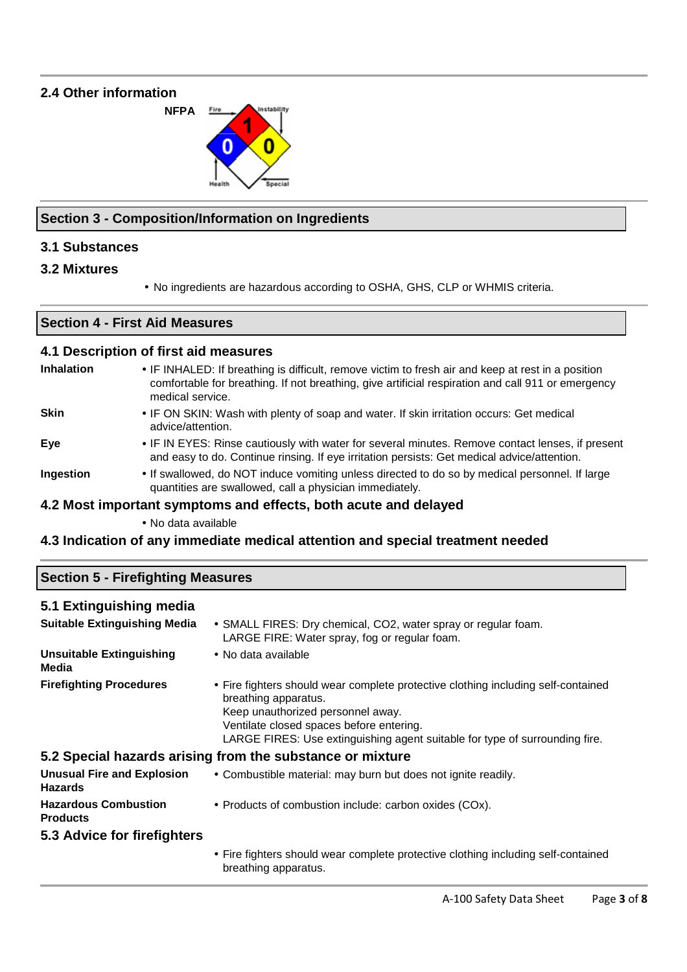# **2.4 Other information**



## **Section 3 - Composition/Information on Ingredients**

# **3.1 Substances**

- **3.2 Mixtures**
- No ingredients are hazardous according to OSHA, GHS, CLP or WHMIS criteria.

#### **Section 4 - First Aid Measures**

#### **4.1 Description of first aid measures**

| <b>Inhalation</b> | • IF INHALED: If breathing is difficult, remove victim to fresh air and keep at rest in a position<br>comfortable for breathing. If not breathing, give artificial respiration and call 911 or emergency<br>medical service. |
|-------------------|------------------------------------------------------------------------------------------------------------------------------------------------------------------------------------------------------------------------------|
| <b>Skin</b>       | • IF ON SKIN: Wash with plenty of soap and water. If skin irritation occurs: Get medical<br>advice/attention.                                                                                                                |
| Eve               | • IF IN EYES: Rinse cautiously with water for several minutes. Remove contact lenses, if present<br>and easy to do. Continue rinsing. If eye irritation persists: Get medical advice/attention.                              |

**Ingestion** • If swallowed, do NOT induce vomiting unless directed to do so by medical personnel. If large quantities are swallowed, call a physician immediately.

#### **4.2 Most important symptoms and effects, both acute and delayed**

• No data available

## **4.3 Indication of any immediate medical attention and special treatment needed**

| <b>Section 5 - Firefighting Measures</b> |                                                                                                                                                |  |
|------------------------------------------|------------------------------------------------------------------------------------------------------------------------------------------------|--|
| 5.1 Extinguishing media                  |                                                                                                                                                |  |
| <b>Suitable Extinguishing Media</b>      | • SMALL FIRES: Dry chemical, CO2, water spray or regular foam.<br>LARGE FIRE: Water spray, fog or regular foam.                                |  |
| <b>Unsuitable Extinguishing</b><br>Media | • No data available                                                                                                                            |  |
| <b>Firefighting Procedures</b>           | • Fire fighters should wear complete protective clothing including self-contained<br>breathing apparatus.<br>Keep unauthorized personnel away. |  |

#### **5.2 Special hazards arising from the substance or mixture**

| <b>Unusual Fire and Explosion</b><br><b>Hazards</b> | • Combustible material: may burn but does not ignite readily. |
|-----------------------------------------------------|---------------------------------------------------------------|
| <b>Hazardous Combustion</b><br><b>Products</b>      | • Products of combustion include: carbon oxides (COx).        |
| 5.3 Advice for firefighters                         |                                                               |

Ventilate closed spaces before entering.

• Fire fighters should wear complete protective clothing including self-contained breathing apparatus.

LARGE FIRES: Use extinguishing agent suitable for type of surrounding fire.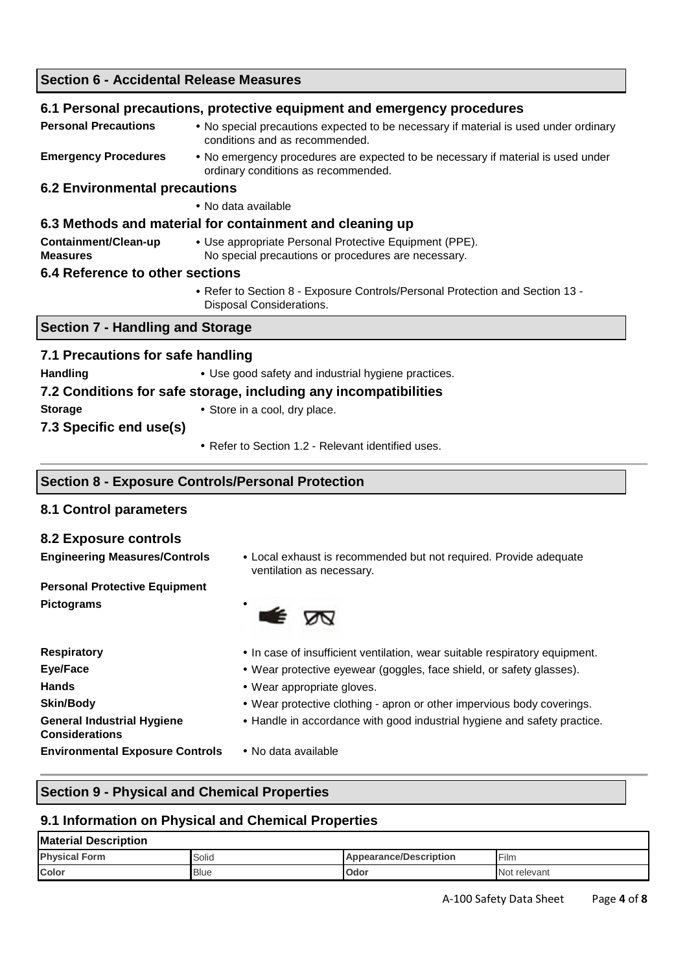| <b>Section 6 - Accidental Release Measures</b>                   |                                                                                                                         |  |
|------------------------------------------------------------------|-------------------------------------------------------------------------------------------------------------------------|--|
|                                                                  | 6.1 Personal precautions, protective equipment and emergency procedures                                                 |  |
| <b>Personal Precautions</b>                                      | • No special precautions expected to be necessary if material is used under ordinary<br>conditions and as recommended.  |  |
| <b>Emergency Procedures</b>                                      | • No emergency procedures are expected to be necessary if material is used under<br>ordinary conditions as recommended. |  |
| <b>6.2 Environmental precautions</b>                             |                                                                                                                         |  |
|                                                                  | • No data available                                                                                                     |  |
|                                                                  | 6.3 Methods and material for containment and cleaning up                                                                |  |
| Containment/Clean-up<br><b>Measures</b>                          | • Use appropriate Personal Protective Equipment (PPE).<br>No special precautions or procedures are necessary.           |  |
| 6.4 Reference to other sections                                  |                                                                                                                         |  |
|                                                                  | • Refer to Section 8 - Exposure Controls/Personal Protection and Section 13 -<br><b>Disposal Considerations.</b>        |  |
| <b>Section 7 - Handling and Storage</b>                          |                                                                                                                         |  |
| 7.1 Precautions for safe handling                                |                                                                                                                         |  |
| <b>Handling</b>                                                  | • Use good safety and industrial hygiene practices.                                                                     |  |
| 7.2 Conditions for safe storage, including any incompatibilities |                                                                                                                         |  |
| <b>Storage</b>                                                   | • Store in a cool, dry place.                                                                                           |  |
| 7.3 Specific end use(s)                                          |                                                                                                                         |  |
|                                                                  | • Refer to Section 1.2 - Relevant identified uses.                                                                      |  |

#### **Section 8 - Exposure Controls/Personal Protection**

## **8.1 Control parameters**

## **8.2 Exposure controls**

**Engineering Measures/Controls** • Local exhaust is recommended but not required. Provide adequate ventilation as necessary.

**Personal Protective Equipment Pictograms** •

- E জ
- **Hands**  Wear appropriate gloves. **General Industrial Hygiene Considerations Environmental Exposure Controls** • No data available
- **Respiratory**  In case of insufficient ventilation, wear suitable respiratory equipment.
- **Eye/Face**  Wear protective eyewear (goggles, face shield, or safety glasses).
	-
- **Skin/Body** Wear protective clothing apron or other impervious body coverings.
	- Handle in accordance with good industrial hygiene and safety practice.
	-

# **Section 9 - Physical and Chemical Properties**

## **9.1 Information on Physical and Chemical Properties**

# **Material Description Physical Form Appearance/Description Appearance/Description Film Color Color Dividends Odor Odor Odor Odor Odor Odor Odor Odor Odor Odor OD**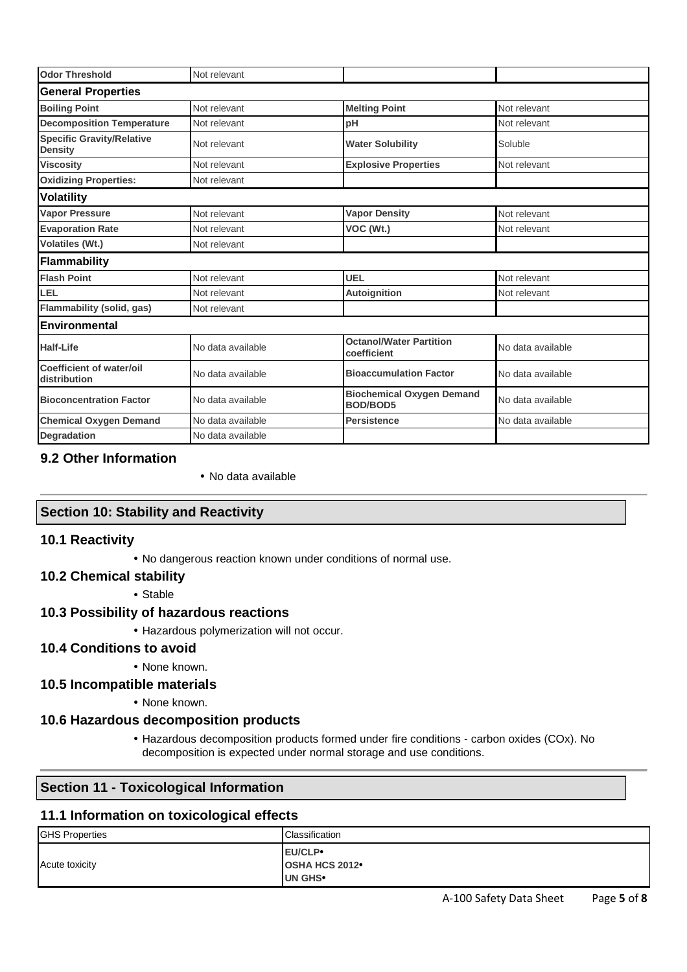| <b>Odor Threshold</b>                              | Not relevant      |                                                     |                   |  |
|----------------------------------------------------|-------------------|-----------------------------------------------------|-------------------|--|
| <b>General Properties</b>                          |                   |                                                     |                   |  |
| <b>Boiling Point</b>                               | Not relevant      | <b>Melting Point</b>                                | Not relevant      |  |
| <b>Decomposition Temperature</b>                   | Not relevant      | рH                                                  | Not relevant      |  |
| <b>Specific Gravity/Relative</b><br><b>Density</b> | Not relevant      | <b>Water Solubility</b>                             | Soluble           |  |
| <b>Viscosity</b>                                   | Not relevant      | <b>Explosive Properties</b>                         | Not relevant      |  |
| <b>Oxidizing Properties:</b>                       | Not relevant      |                                                     |                   |  |
| <b>Volatility</b>                                  |                   |                                                     |                   |  |
| <b>Vapor Pressure</b>                              | Not relevant      | <b>Vapor Density</b>                                | Not relevant      |  |
| <b>Evaporation Rate</b>                            | Not relevant      | VOC (Wt.)                                           | Not relevant      |  |
| Volatiles (Wt.)                                    | Not relevant      |                                                     |                   |  |
| Flammability                                       |                   |                                                     |                   |  |
| <b>Flash Point</b>                                 | Not relevant      | <b>UEL</b>                                          | Not relevant      |  |
| LEL                                                | Not relevant      | Autoignition                                        | Not relevant      |  |
| <b>Flammability (solid, gas)</b>                   | Not relevant      |                                                     |                   |  |
| Environmental                                      |                   |                                                     |                   |  |
| <b>Half-Life</b>                                   | No data available | <b>Octanol/Water Partition</b><br>coefficient       | No data available |  |
| Coefficient of water/oil<br>distribution           | No data available | <b>Bioaccumulation Factor</b>                       | No data available |  |
| <b>Bioconcentration Factor</b>                     | No data available | <b>Biochemical Oxygen Demand</b><br><b>BOD/BOD5</b> | No data available |  |
| <b>Chemical Oxygen Demand</b>                      | No data available | <b>Persistence</b>                                  | No data available |  |
| <b>Degradation</b>                                 | No data available |                                                     |                   |  |

# **9.2 Other Information**

• No data available

## **Section 10: Stability and Reactivity**

#### **10.1 Reactivity**

• No dangerous reaction known under conditions of normal use.

## **10.2 Chemical stability**

• Stable

## **10.3 Possibility of hazardous reactions**

• Hazardous polymerization will not occur.

## **10.4 Conditions to avoid**

#### • None known.

- **10.5 Incompatible materials**
	- None known.

## **10.6 Hazardous decomposition products**

• Hazardous decomposition products formed under fire conditions - carbon oxides (COx). No decomposition is expected under normal storage and use conditions.

# **Section 11 - Toxicological Information**

#### **11.1 Information on toxicological effects**

| <b>GHS Properties</b> | Classification                                         |
|-----------------------|--------------------------------------------------------|
| Acute toxicity        | <b>EU/CLP</b><br><b>OSHA HCS 2012</b><br><b>UN GHS</b> |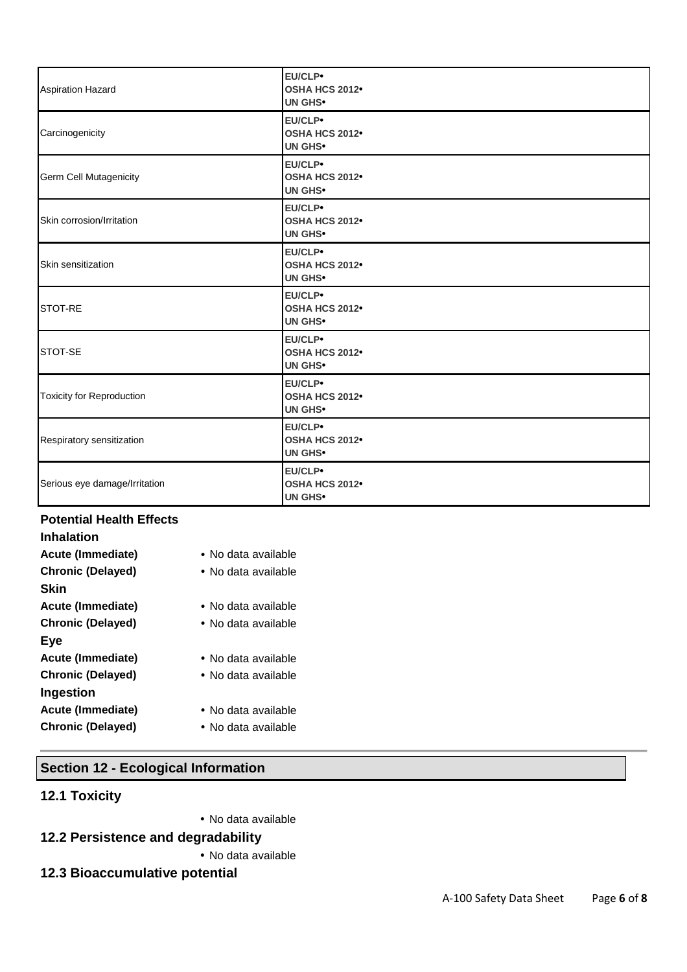| <b>Aspiration Hazard</b>         | EU/CLP•<br><b>OSHA HCS 2012</b><br><b>UN GHS•</b>            |
|----------------------------------|--------------------------------------------------------------|
| Carcinogenicity                  | EU/CLP•<br><b>OSHA HCS 2012</b><br><b>UN GHS•</b>            |
| Germ Cell Mutagenicity           | EU/CLP•<br><b>OSHA HCS 2012</b><br><b>UN GHS•</b>            |
| Skin corrosion/Irritation        | EU/CLP•<br><b>OSHA HCS 2012</b><br><b>UN GHS•</b>            |
| Skin sensitization               | EU/CLP•<br>OSHA HCS 2012 <sup>•</sup><br>UN GHS <sup>.</sup> |
| <b>STOT-RE</b>                   | EU/CLP•<br><b>OSHA HCS 2012</b><br>UN GHS <sup>.</sup>       |
| STOT-SE                          | EU/CLP•<br>OSHA HCS 2012 <sup>•</sup><br><b>UN GHS•</b>      |
| <b>Toxicity for Reproduction</b> | EU/CLP•<br>OSHA HCS 2012 <sup>•</sup><br>UN GHS <sup>.</sup> |
| Respiratory sensitization        | EU/CLP•<br>OSHA HCS 2012 <sup>•</sup><br>UN GHS <sup>.</sup> |
| Serious eye damage/Irritation    | EU/CLP•<br>OSHA HCS 2012 <sup>•</sup><br>UN GHS <sup>.</sup> |

# **Potential Health Effects**

| <b>Inhalation</b>        |                              |
|--------------------------|------------------------------|
| Acute (Immediate)        | $\bullet$ No data available  |
| <b>Chronic (Delayed)</b> | $\bullet$ No data available  |
| Skin                     |                              |
| Acute (Immediate)        | $\bullet$ No data available. |
| <b>Chronic (Delayed)</b> | $\bullet$ No data available  |
| Eye                      |                              |
| Acute (Immediate)        | • No data available          |
| <b>Chronic (Delayed)</b> | $\bullet$ No data available  |
| Ingestion                |                              |
| Acute (Immediate)        | $\bullet$ No data available  |
| <b>Chronic (Delayed)</b> | $\bullet$ No data available  |

# **Section 12 - Ecological Information**

# **12.1 Toxicity**

• No data available

# **12.2 Persistence and degradability**

- No data available
- **12.3 Bioaccumulative potential**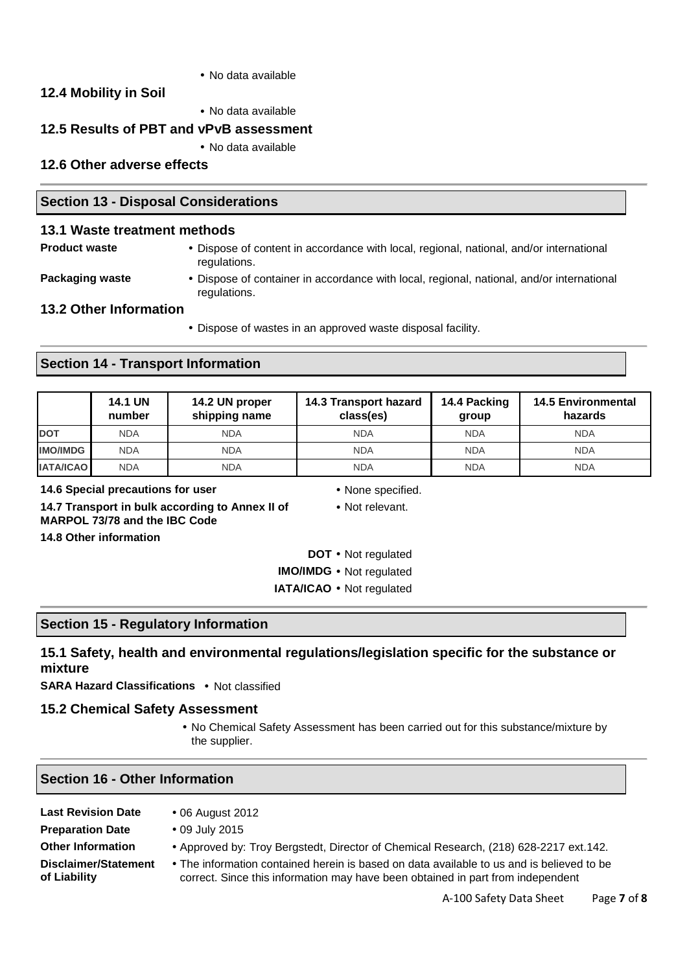• No data available

# **12.4 Mobility in Soil**

• No data available

## **12.5 Results of PBT and vPvB assessment**

• No data available

## **12.6 Other adverse effects**

#### **Section 13 - Disposal Considerations**

#### **13.1 Waste treatment methods**

**Product waste** • Dispose of content in accordance with local, regional, national, and/or international regulations.

**Packaging waste •** Dispose of container in accordance with local, regional, national, and/or international regulations.

## **13.2 Other Information**

• Dispose of wastes in an approved waste disposal facility.

#### **Section 14 - Transport Information**

|                  | <b>14.1 UN</b><br>number | 14.2 UN proper<br>shipping name | 14.3 Transport hazard<br>class(es) | 14.4 Packing<br>group | <b>14.5 Environmental</b><br>hazards |
|------------------|--------------------------|---------------------------------|------------------------------------|-----------------------|--------------------------------------|
| <b>DOT</b>       | <b>NDA</b>               | <b>NDA</b>                      | <b>NDA</b>                         | <b>NDA</b>            | <b>NDA</b>                           |
| <b>IMO/IMDG</b>  | <b>NDA</b>               | <b>NDA</b>                      | <b>NDA</b>                         | <b>NDA</b>            | <b>NDA</b>                           |
| <b>IATA/ICAO</b> | <b>NDA</b>               | <b>NDA</b>                      | <b>NDA</b>                         | <b>NDA</b>            | <b>NDA</b>                           |

**14.6 Special precautions for user** • None specified.

- 
- Not relevant.

**14.7 Transport in bulk according to Annex II of MARPOL 73/78 and the IBC Code 14.8 Other information** 

- **DOT** Not regulated **IMO/IMDG** • Not regulated
- **IATA/ICAO** Not regulated

#### **Section 15 - Regulatory Information**

# **15.1 Safety, health and environmental regulations/legislation specific for the substance or mixture**

**SARA Hazard Classifications** • Not classified

#### **15.2 Chemical Safety Assessment**

• No Chemical Safety Assessment has been carried out for this substance/mixture by the supplier.

#### **Section 16 - Other Information**

| <b>Last Revision Date</b> | • 06 August 2012                                                                          |
|---------------------------|-------------------------------------------------------------------------------------------|
| <b>Preparation Date</b>   | • 09 July 2015                                                                            |
| <b>Other Information</b>  | • Approved by: Troy Bergstedt, Director of Chemical Research, (218) 628-2217 ext.142.     |
| Disclaimer/Statement      | • The information contained herein is based on data available to us and is believed to be |
| of Liability              | correct. Since this information may have been obtained in part from independent           |